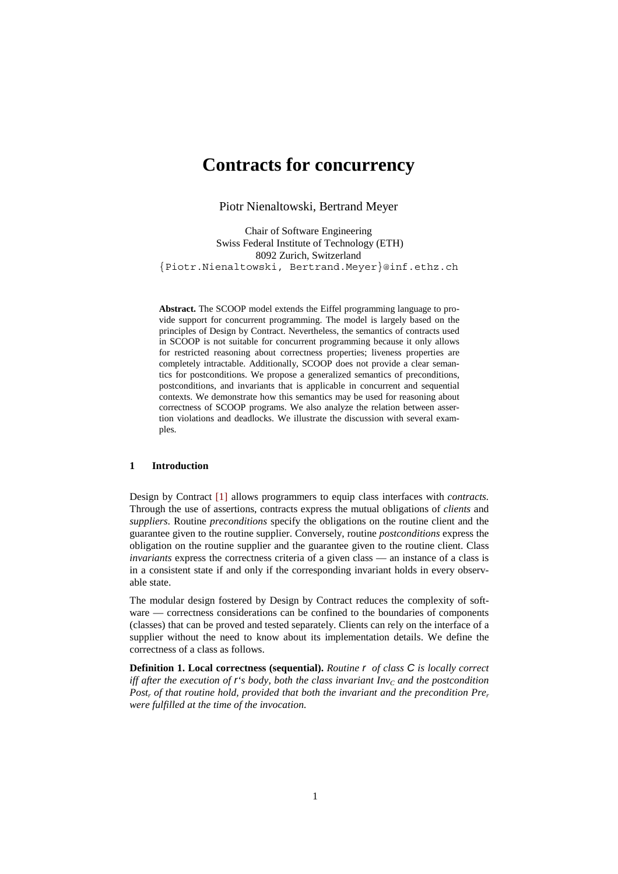# **Contracts for concurrency**

Piotr Nienaltowski, Bertrand Meyer

Chair of Software Engineering Swiss Federal Institute of Technology (ETH) 8092 Zurich, Switzerland {Piotr.Nienaltowski, Bertrand.Meyer}@inf.ethz.ch

**Abstract.** The SCOOP model extends the Eiffel programming language to provide support for concurrent programming. The model is largely based on the principles of Design by Contract. Nevertheless, the semantics of contracts used in SCOOP is not suitable for concurrent programming because it only allows for restricted reasoning about correctness properties; liveness properties are completely intractable. Additionally, SCOOP does not provide a clear semantics for postconditions. We propose a generalized semantics of preconditions, postconditions, and invariants that is applicable in concurrent and sequential contexts. We demonstrate how this semantics may be used for reasoning about correctness of SCOOP programs. We also analyze the relation between assertion violations and deadlocks. We illustrate the discussion with several examples.

#### **1 Introduction**

Design by Contract [1] allows programmers to equip class interfaces with *contracts.* Through the use of assertions, contracts express the mutual obligations of *clients* and *suppliers*. Routine *preconditions* specify the obligations on the routine client and the guarantee given to the routine supplier. Conversely, routine *postconditions* express the obligation on the routine supplier and the guarantee given to the routine client. Class *invariants* express the correctness criteria of a given class — an instance of a class is in a consistent state if and only if the corresponding invariant holds in every observable state.

The modular design fostered by Design by Contract reduces the complexity of software — correctness considerations can be confined to the boundaries of components (classes) that can be proved and tested separately. Clients can rely on the interface of a supplier without the need to know about its implementation details. We define the correctness of a class as follows.

**Definition 1. Local correctness (sequential).** *Routine r of class C is locally correct iff after the execution of r's body, both the class invariant*  $Inv<sub>C</sub>$  *and the postcondition Postr of that routine hold, provided that both the invariant and the precondition Prer were fulfilled at the time of the invocation.*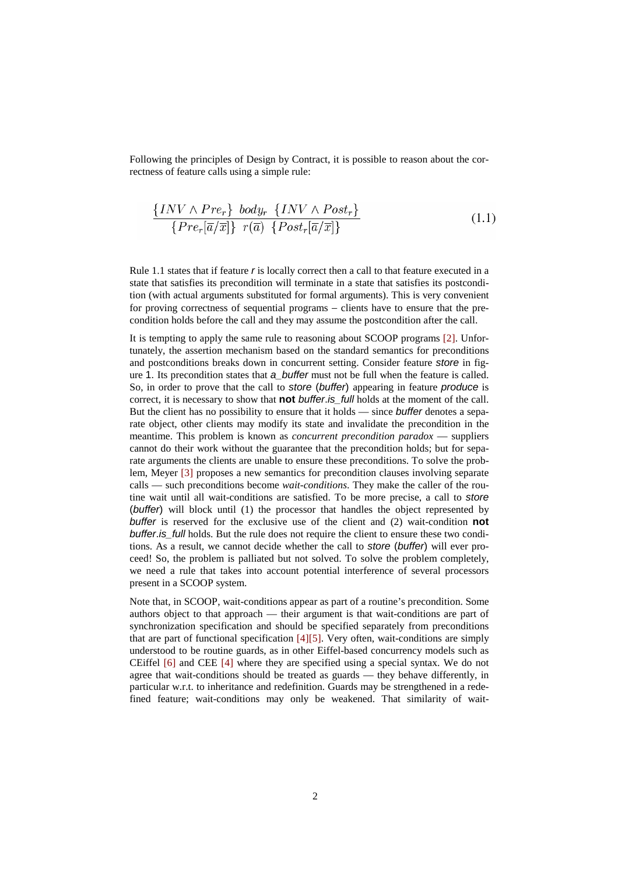Following the principles of Design by Contract, it is possible to reason about the correctness of feature calls using a simple rule:

$$
\frac{\{INV \land Pre_r\} \ body_r \ \{INV \land Post_r\}}{\{Pre_r[\overline{a}/\overline{x}]\} \ r(\overline{a}) \ \{Post_r[\overline{a}/\overline{x}]\}}\n \tag{1.1}
$$

Rule 1.1 states that if feature *r* is locally correct then a call to that feature executed in a state that satisfies its precondition will terminate in a state that satisfies its postcondition (with actual arguments substituted for formal arguments). This is very convenient for proving correctness of sequential programs – clients have to ensure that the precondition holds before the call and they may assume the postcondition after the call.

It is tempting to apply the same rule to reasoning about SCOOP programs [2]. Unfortunately, the assertion mechanism based on the standard semantics for preconditions and postconditions breaks down in concurrent setting. Consider feature *store* in figure 1. Its precondition states that *a\_buffer* must not be full when the feature is called. So, in order to prove that the call to *store* (*buffer*) appearing in feature *produce* is correct, it is necessary to show that **not** *buffer*.*is\_full* holds at the moment of the call. But the client has no possibility to ensure that it holds — since *buffer* denotes a separate object, other clients may modify its state and invalidate the precondition in the meantime. This problem is known as *concurrent precondition paradox* — suppliers cannot do their work without the guarantee that the precondition holds; but for separate arguments the clients are unable to ensure these preconditions. To solve the problem, Meyer [3] proposes a new semantics for precondition clauses involving separate calls — such preconditions become *wait-conditions*. They make the caller of the routine wait until all wait-conditions are satisfied. To be more precise, a call to *store* (*buffer*) will block until (1) the processor that handles the object represented by *buffer* is reserved for the exclusive use of the client and (2) wait-condition **not** *buffer*.*is\_full* holds. But the rule does not require the client to ensure these two conditions. As a result, we cannot decide whether the call to *store* (*buffer*) will ever proceed! So, the problem is palliated but not solved. To solve the problem completely, we need a rule that takes into account potential interference of several processors present in a SCOOP system.

Note that, in SCOOP, wait-conditions appear as part of a routine's precondition. Some authors object to that approach — their argument is that wait-conditions are part of synchronization specification and should be specified separately from preconditions that are part of functional specification  $[4][5]$ . Very often, wait-conditions are simply understood to be routine guards, as in other Eiffel-based concurrency models such as CEiffel [6] and CEE [4] where they are specified using a special syntax. We do not agree that wait-conditions should be treated as guards — they behave differently, in particular w.r.t. to inheritance and redefinition. Guards may be strengthened in a redefined feature; wait-conditions may only be weakened. That similarity of wait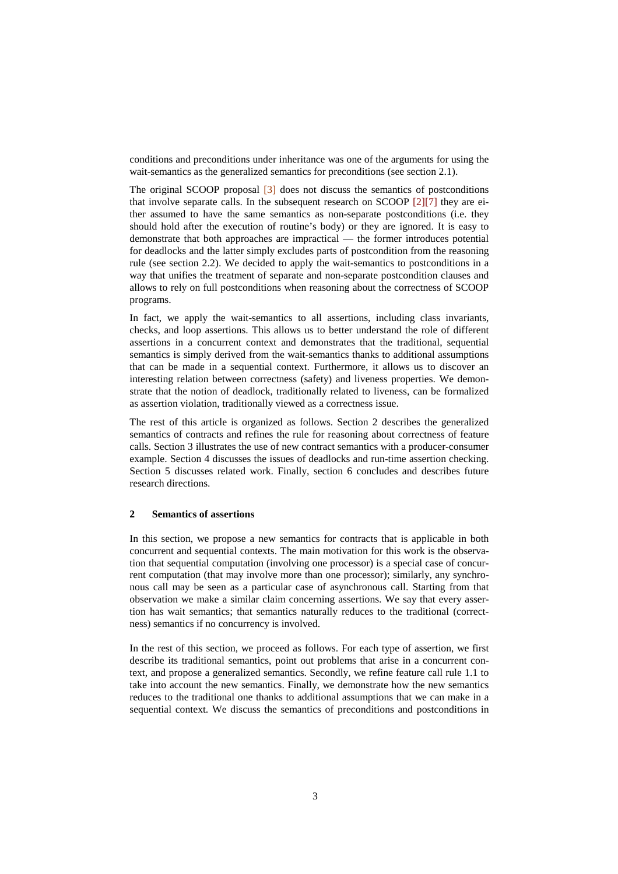conditions and preconditions under inheritance was one of the arguments for using the wait-semantics as the generalized semantics for preconditions (see section 2.1).

The original SCOOP proposal [3] does not discuss the semantics of postconditions that involve separate calls. In the subsequent research on SCOOP [2][7] they are either assumed to have the same semantics as non-separate postconditions (i.e. they should hold after the execution of routine's body) or they are ignored. It is easy to demonstrate that both approaches are impractical — the former introduces potential for deadlocks and the latter simply excludes parts of postcondition from the reasoning rule (see section 2.2). We decided to apply the wait-semantics to postconditions in a way that unifies the treatment of separate and non-separate postcondition clauses and allows to rely on full postconditions when reasoning about the correctness of SCOOP programs.

In fact, we apply the wait-semantics to all assertions, including class invariants, checks, and loop assertions. This allows us to better understand the role of different assertions in a concurrent context and demonstrates that the traditional, sequential semantics is simply derived from the wait-semantics thanks to additional assumptions that can be made in a sequential context. Furthermore, it allows us to discover an interesting relation between correctness (safety) and liveness properties. We demonstrate that the notion of deadlock, traditionally related to liveness, can be formalized as assertion violation, traditionally viewed as a correctness issue.

The rest of this article is organized as follows. Section 2 describes the generalized semantics of contracts and refines the rule for reasoning about correctness of feature calls. Section 3 illustrates the use of new contract semantics with a producer-consumer example. Section 4 discusses the issues of deadlocks and run-time assertion checking. Section 5 discusses related work. Finally, section 6 concludes and describes future research directions.

#### **2 Semantics of assertions**

In this section, we propose a new semantics for contracts that is applicable in both concurrent and sequential contexts. The main motivation for this work is the observation that sequential computation (involving one processor) is a special case of concurrent computation (that may involve more than one processor); similarly, any synchronous call may be seen as a particular case of asynchronous call. Starting from that observation we make a similar claim concerning assertions. We say that every assertion has wait semantics; that semantics naturally reduces to the traditional (correctness) semantics if no concurrency is involved.

In the rest of this section, we proceed as follows. For each type of assertion, we first describe its traditional semantics, point out problems that arise in a concurrent context, and propose a generalized semantics. Secondly, we refine feature call rule 1.1 to take into account the new semantics. Finally, we demonstrate how the new semantics reduces to the traditional one thanks to additional assumptions that we can make in a sequential context. We discuss the semantics of preconditions and postconditions in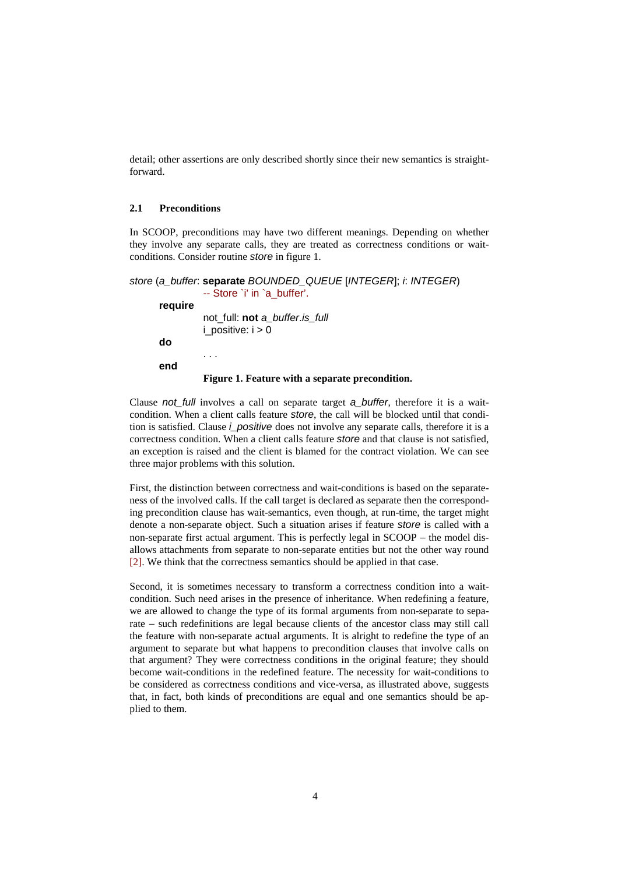detail; other assertions are only described shortly since their new semantics is straightforward.

### **2.1 Preconditions**

In SCOOP, preconditions may have two different meanings. Depending on whether they involve any separate calls, they are treated as correctness conditions or waitconditions. Consider routine *store* in figure 1.

```
store (a_buffer: separate BOUNDED_QUEUE [INTEGER]; i: INTEGER) 
                -- Store `i' in `a_buffer'. 
     require 
               not_full: not a_buffer.is_full 
               i_positive: i > 0do 
                 . . . 
     end 
               Figure 1. Feature with a separate precondition.
```
Clause *not\_full* involves a call on separate target *a\_buffer*, therefore it is a waitcondition. When a client calls feature *store*, the call will be blocked until that condition is satisfied. Clause *i\_positive* does not involve any separate calls, therefore it is a correctness condition. When a client calls feature *store* and that clause is not satisfied, an exception is raised and the client is blamed for the contract violation. We can see three major problems with this solution.

First, the distinction between correctness and wait-conditions is based on the separateness of the involved calls. If the call target is declared as separate then the corresponding precondition clause has wait-semantics, even though, at run-time, the target might denote a non-separate object. Such a situation arises if feature *store* is called with a non-separate first actual argument. This is perfectly legal in SCOOP – the model disallows attachments from separate to non-separate entities but not the other way round [2]. We think that the correctness semantics should be applied in that case.

Second, it is sometimes necessary to transform a correctness condition into a waitcondition. Such need arises in the presence of inheritance. When redefining a feature, we are allowed to change the type of its formal arguments from non-separate to separate − such redefinitions are legal because clients of the ancestor class may still call the feature with non-separate actual arguments. It is alright to redefine the type of an argument to separate but what happens to precondition clauses that involve calls on that argument? They were correctness conditions in the original feature; they should become wait-conditions in the redefined feature. The necessity for wait-conditions to be considered as correctness conditions and vice-versa, as illustrated above, suggests that, in fact, both kinds of preconditions are equal and one semantics should be applied to them.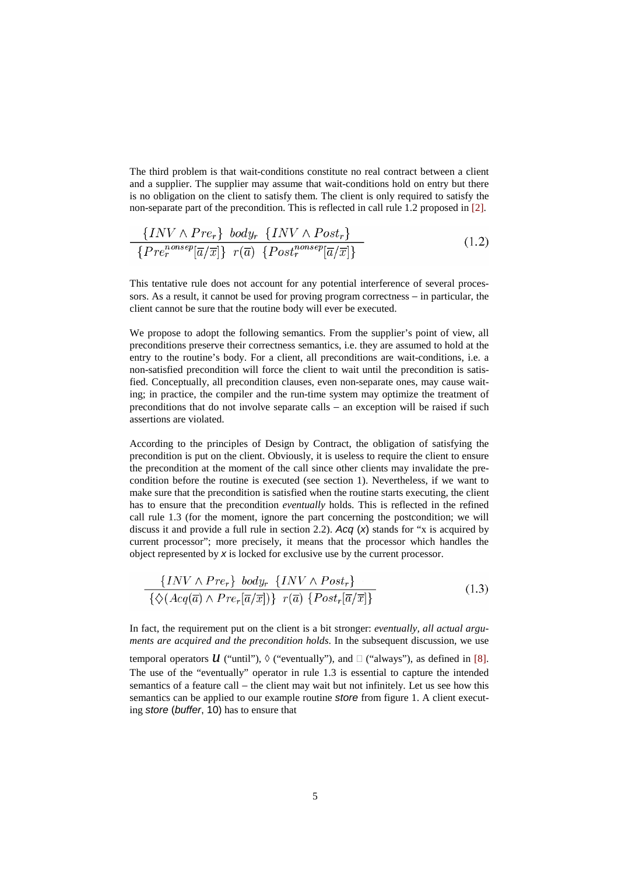The third problem is that wait-conditions constitute no real contract between a client and a supplier. The supplier may assume that wait-conditions hold on entry but there is no obligation on the client to satisfy them. The client is only required to satisfy the non-separate part of the precondition. This is reflected in call rule 1.2 proposed in [2].

$$
\frac{\{INV \wedge Pre_r\} \text{ body}_r \{INV \wedge Post_r\}}{\{Pre_r^{namesep}[\overline{a}/\overline{x}]\} \ r(\overline{a}) \ \{Post_r^{nonsep}[\overline{a}/\overline{x}]\}}
$$
(1.2)

This tentative rule does not account for any potential interference of several processors. As a result, it cannot be used for proving program correctness – in particular, the client cannot be sure that the routine body will ever be executed.

We propose to adopt the following semantics. From the supplier's point of view, all preconditions preserve their correctness semantics, i.e. they are assumed to hold at the entry to the routine's body. For a client, all preconditions are wait-conditions, i.e. a non-satisfied precondition will force the client to wait until the precondition is satisfied. Conceptually, all precondition clauses, even non-separate ones, may cause waiting; in practice, the compiler and the run-time system may optimize the treatment of preconditions that do not involve separate calls – an exception will be raised if such assertions are violated.

According to the principles of Design by Contract, the obligation of satisfying the precondition is put on the client. Obviously, it is useless to require the client to ensure the precondition at the moment of the call since other clients may invalidate the precondition before the routine is executed (see section 1). Nevertheless, if we want to make sure that the precondition is satisfied when the routine starts executing, the client has to ensure that the precondition *eventually* holds. This is reflected in the refined call rule 1.3 (for the moment, ignore the part concerning the postcondition; we will discuss it and provide a full rule in section 2.2). *Acq* (*x*) stands for "x is acquired by current processor"; more precisely, it means that the processor which handles the object represented by *x* is locked for exclusive use by the current processor.

$$
\frac{\{INV \land Pre_r\} \ body_r \ \{INV \land Post_r\}}{\{\Diamond(Acq(\overline{a}) \land Pre_r[\overline{a}/\overline{x}])\} \ r(\overline{a}) \ \{Post_r[\overline{a}/\overline{x}]\}}
$$
(1.3)

In fact, the requirement put on the client is a bit stronger: *eventually, all actual arguments are acquired and the precondition holds*. In the subsequent discussion, we use

temporal operators  $\mathcal U$  ("until"),  $\Diamond$  ("eventually"), and  $\Box$  ("always"), as defined in [8]. The use of the "eventually" operator in rule 1.3 is essential to capture the intended semantics of a feature call – the client may wait but not infinitely. Let us see how this semantics can be applied to our example routine *store* from figure 1. A client executing *store* (*buffer*, 10) has to ensure that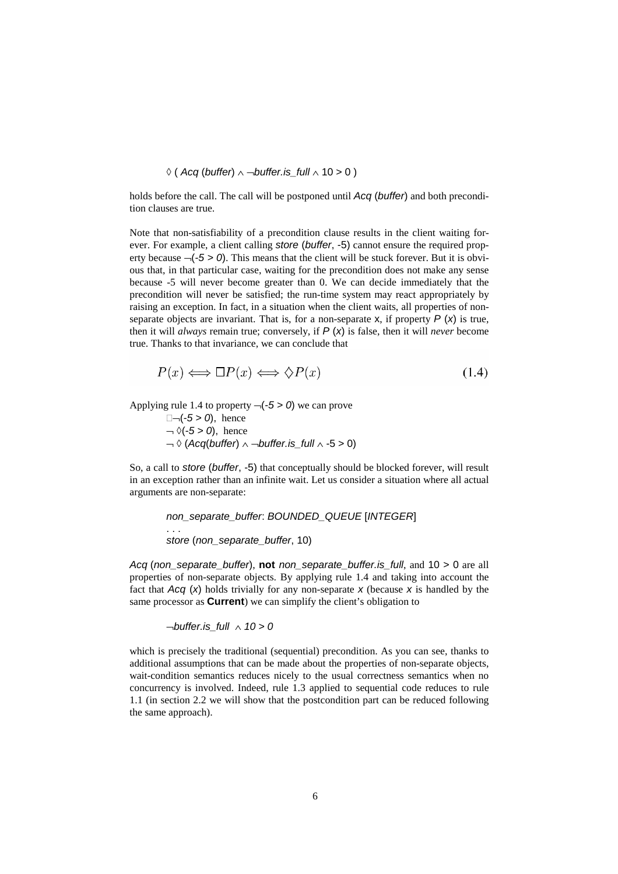$$
\Diamond
$$
 (Acq (buffer)  $\land$   $\neg$  buffer.is\_full  $\land$  10  $>$  0 )

holds before the call. The call will be postponed until *Acq* (*buffer*) and both precondition clauses are true.

Note that non-satisfiability of a precondition clause results in the client waiting forever. For example, a client calling *store* (*buffer*, -5) cannot ensure the required property because  $\neg(-5 > 0)$ . This means that the client will be stuck forever. But it is obvious that, in that particular case, waiting for the precondition does not make any sense because -5 will never become greater than 0. We can decide immediately that the precondition will never be satisfied; the run-time system may react appropriately by raising an exception. In fact, in a situation when the client waits, all properties of nonseparate objects are invariant. That is, for a non-separate  $x$ , if property  $P(x)$  is true, then it will *always* remain true; conversely, if *P* (*x*) is false, then it will *never* become true. Thanks to that invariance, we can conclude that

$$
P(x) \iff \Box P(x) \iff \Diamond P(x) \tag{1.4}
$$

Applying rule 1.4 to property ¬(*-5 > 0*) we can prove

 $\Box \neg (-5 > 0)$ , hence  $\lnot$   $\Diamond$ ( $\lnot$  5 > 0), hence ¬ ◊ (*Acq*(*buffer*) ∧ ¬*buffer.is\_full* ∧ -5 > 0)

So, a call to *store* (*buffer*, -5) that conceptually should be blocked forever, will result in an exception rather than an infinite wait. Let us consider a situation where all actual arguments are non-separate:

> *non\_separate\_buffer*: *BOUNDED\_QUEUE* [*INTEGER*] . . . *store* (*non\_separate\_buffer*, 10)

*Acq* (*non\_separate\_buffer*), **not** *non\_separate\_buffer.is\_full*, and 10 > 0 are all properties of non-separate objects. By applying rule 1.4 and taking into account the fact that *Acq* (*x*) holds trivially for any non-separate *x* (because *x* is handled by the same processor as **Current**) we can simplify the client's obligation to

¬*buffer.is\_full* ∧ *10 > 0*

which is precisely the traditional (sequential) precondition. As you can see, thanks to additional assumptions that can be made about the properties of non-separate objects, wait-condition semantics reduces nicely to the usual correctness semantics when no concurrency is involved. Indeed, rule 1.3 applied to sequential code reduces to rule 1.1 (in section 2.2 we will show that the postcondition part can be reduced following the same approach).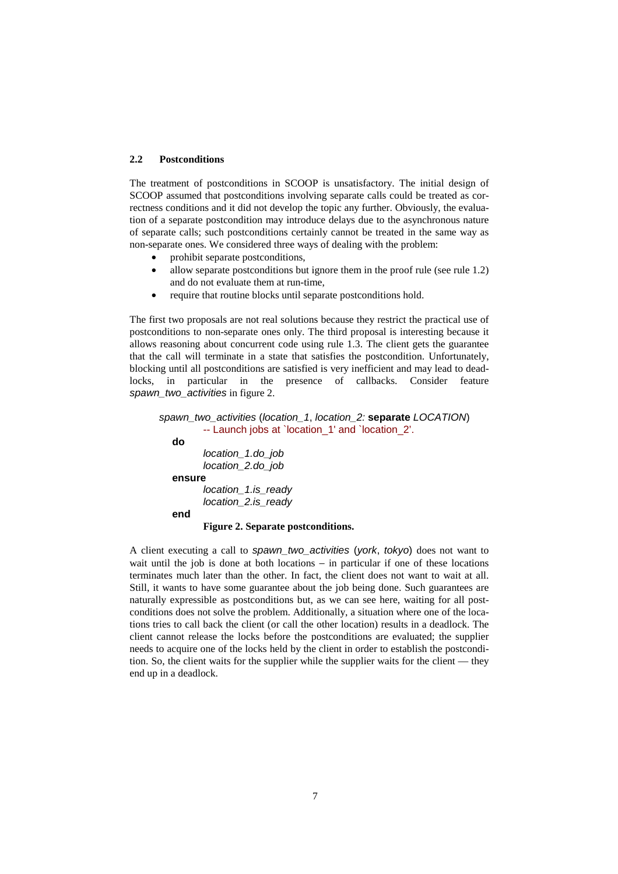### **2.2 Postconditions**

The treatment of postconditions in SCOOP is unsatisfactory. The initial design of SCOOP assumed that postconditions involving separate calls could be treated as correctness conditions and it did not develop the topic any further. Obviously, the evaluation of a separate postcondition may introduce delays due to the asynchronous nature of separate calls; such postconditions certainly cannot be treated in the same way as non-separate ones. We considered three ways of dealing with the problem:

- prohibit separate postconditions,
- allow separate postconditions but ignore them in the proof rule (see rule 1.2) and do not evaluate them at run-time,
- require that routine blocks until separate postconditions hold.

The first two proposals are not real solutions because they restrict the practical use of postconditions to non-separate ones only. The third proposal is interesting because it allows reasoning about concurrent code using rule 1.3. The client gets the guarantee that the call will terminate in a state that satisfies the postcondition. Unfortunately, blocking until all postconditions are satisfied is very inefficient and may lead to deadlocks, in particular in the presence of callbacks. Consider feature *spawn\_two\_activities* in figure 2.

```
spawn_two_activities (location_1, location_2: separate LOCATION) 
          -- Launch jobs at `location_1' and `location_2'. 
  do 
          location_1.do_job 
          location_2.do_job 
  ensure 
          location_1.is_ready 
          location_2.is_ready 
  end 
         Figure 2. Separate postconditions.
```
A client executing a call to *spawn\_two\_activities* (*york*, *tokyo*) does not want to wait until the job is done at both locations – in particular if one of these locations terminates much later than the other. In fact, the client does not want to wait at all. Still, it wants to have some guarantee about the job being done. Such guarantees are naturally expressible as postconditions but, as we can see here, waiting for all postconditions does not solve the problem. Additionally, a situation where one of the locations tries to call back the client (or call the other location) results in a deadlock. The client cannot release the locks before the postconditions are evaluated; the supplier needs to acquire one of the locks held by the client in order to establish the postcondition. So, the client waits for the supplier while the supplier waits for the client — they end up in a deadlock.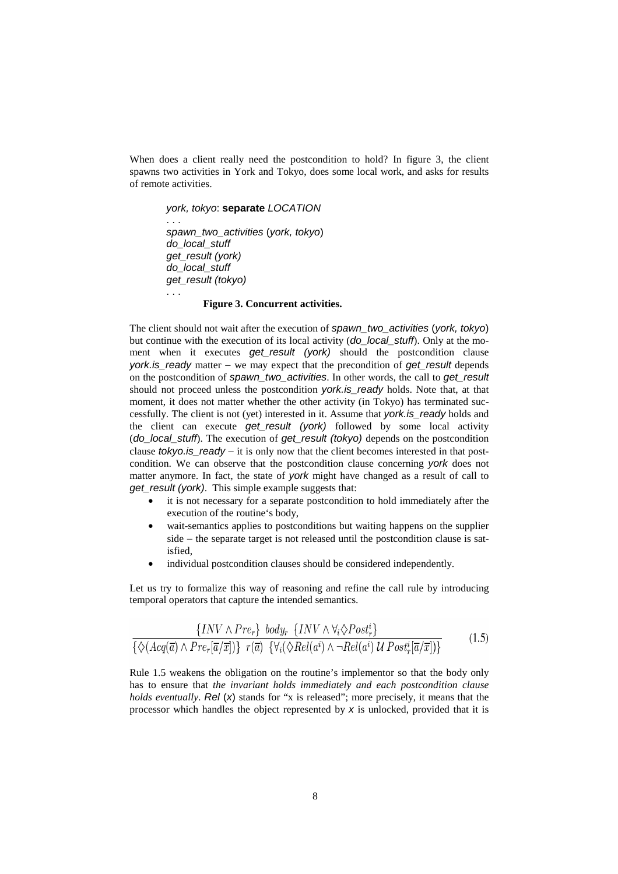When does a client really need the postcondition to hold? In figure 3, the client spawns two activities in York and Tokyo, does some local work, and asks for results of remote activities.

#### *york, tokyo*: **separate** *LOCATION*

 . . . *spawn\_two\_activities* (*york, tokyo*) *do\_local\_stuff get\_result (york) do\_local\_stuff get\_result (tokyo)* 

. . .

#### **Figure 3. Concurrent activities.**

The client should not wait after the execution of *spawn\_two\_activities* (*york, tokyo*) but continue with the execution of its local activity (*do\_local\_stuff*). Only at the moment when it executes get result (york) should the postcondition clause *york.is\_ready* matter − we may expect that the precondition of *get\_result* depends on the postcondition of *spawn\_two\_activities*. In other words, the call to *get\_result* should not proceed unless the postcondition *york.is\_ready* holds. Note that, at that moment, it does not matter whether the other activity (in Tokyo) has terminated successfully. The client is not (yet) interested in it. Assume that *york.is\_ready* holds and the client can execute *get\_result (york)* followed by some local activity (*do\_local\_stuff*). The execution of *get\_result (tokyo)* depends on the postcondition clause *tokyo.is ready* − it is only now that the client becomes interested in that postcondition. We can observe that the postcondition clause concerning *york* does not matter anymore. In fact, the state of *york* might have changed as a result of call to *get\_result (york)*. This simple example suggests that:

- it is not necessary for a separate postcondition to hold immediately after the execution of the routine's body,
- wait-semantics applies to postconditions but waiting happens on the supplier side − the separate target is not released until the postcondition clause is satisfied,
- individual postcondition clauses should be considered independently.

Let us try to formalize this way of reasoning and refine the call rule by introducing temporal operators that capture the intended semantics.

$$
\frac{\{INV \wedge Pre_r\} \text{ body}_r \{INV \wedge \forall_i \Diamond Post_r^i\}}{\{\Diamond(Acq(\overline{a}) \wedge Pre_r[\overline{a}/\overline{x}])\} \ r(\overline{a}) \ \{\forall_i (\Diamond Rel(a^i) \wedge \neg Rel(a^i) \ U \ Post_r^i[\overline{a}/\overline{x}])\}}
$$
(1.5)

Rule 1.5 weakens the obligation on the routine's implementor so that the body only has to ensure that *the invariant holds immediately and each postcondition clause holds eventually*. *Rel* (*x*) stands for "x is released"; more precisely, it means that the processor which handles the object represented by *x* is unlocked, provided that it is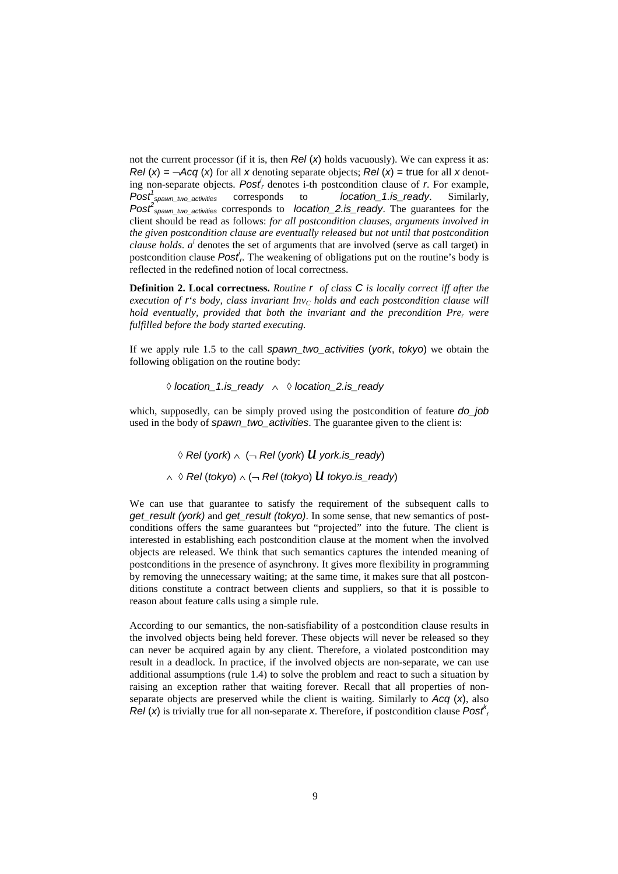not the current processor (if it is, then *Rel* (*x*) holds vacuously). We can express it as: *Rel* (*x*) =  $\neg Acq$  (*x*) for all *x* denoting separate objects; *Rel* (*x*) = true for all *x* denoting non-separate objects.  $Post<sub>r</sub>$  denotes i-th postcondition clause of  $r$ . For example, Post<sup>1</sup><sub>spawn\_two\_activities</sub> corresponds to *location\_1.is\_ready*. Similarly, *Post2 spawn\_two\_activities* corresponds to *location\_2.is\_ready*. The guarantees for the client should be read as follows: *for all postcondition clauses, arguments involved in the given postcondition clause are eventually released but not until that postcondition clause holds.*  $a^i$  denotes the set of arguments that are involved (serve as call target) in postcondition clause *Post<sup>i</sup>*. The weakening of obligations put on the routine's body is reflected in the redefined notion of local correctness.

**Definition 2. Local correctness.** *Routine r of class C is locally correct iff after the*   $e$ *xecution of r<sup>'</sup>s body, class invariant Inv<sub>C</sub> holds and each postcondition clause will hold eventually, provided that both the invariant and the precondition Pre, were fulfilled before the body started executing.*

If we apply rule 1.5 to the call *spawn\_two\_activities* (*york*, *tokyo*) we obtain the following obligation on the routine body:

◊ *location\_1.is\_ready* ∧◊ *location\_2.is\_ready*

which, supposedly, can be simply proved using the postcondition of feature *do\_job* used in the body of *spawn\_two\_activities*. The guarantee given to the client is:

 ◊ *Rel* (*york*) ∧ (<sup>¬</sup> *Rel* (*york*) *u york.is\_ready*) <sup>∧</sup> ◊ *Rel* (*tokyo*) ∧ (<sup>¬</sup> *Rel* (*tokyo*) *u tokyo.is\_ready*)

We can use that guarantee to satisfy the requirement of the subsequent calls to *get\_result (york)* and *get\_result (tokyo)*. In some sense, that new semantics of postconditions offers the same guarantees but "projected" into the future. The client is interested in establishing each postcondition clause at the moment when the involved objects are released. We think that such semantics captures the intended meaning of postconditions in the presence of asynchrony. It gives more flexibility in programming by removing the unnecessary waiting; at the same time, it makes sure that all postconditions constitute a contract between clients and suppliers, so that it is possible to reason about feature calls using a simple rule.

According to our semantics, the non-satisfiability of a postcondition clause results in the involved objects being held forever. These objects will never be released so they can never be acquired again by any client. Therefore, a violated postcondition may result in a deadlock. In practice, if the involved objects are non-separate, we can use additional assumptions (rule 1.4) to solve the problem and react to such a situation by raising an exception rather that waiting forever. Recall that all properties of nonseparate objects are preserved while the client is waiting. Similarly to *Acq* (*x*), also *Rel* (*x*) is trivially true for all non-separate *x*. Therefore, if postcondition clause  $Posf'$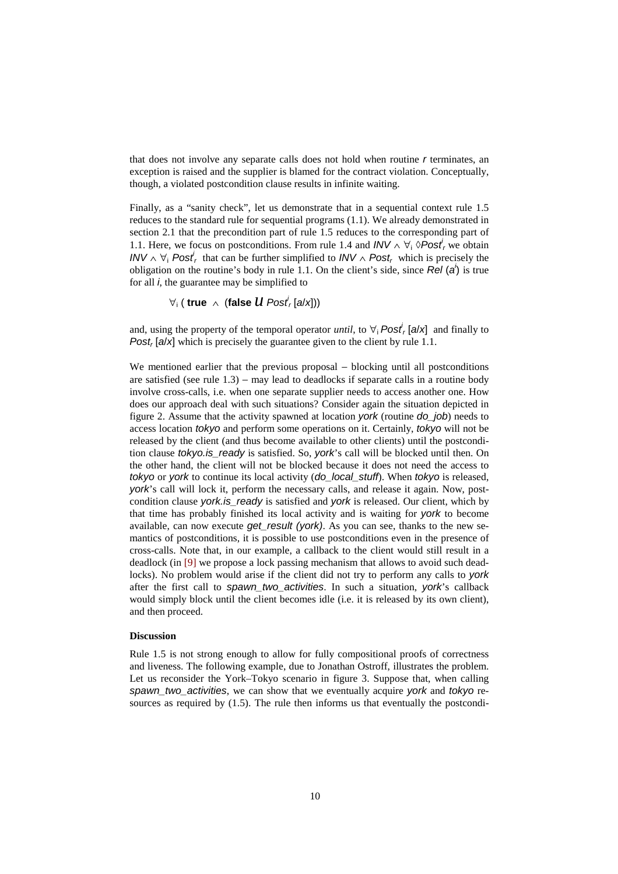that does not involve any separate calls does not hold when routine *r* terminates, an exception is raised and the supplier is blamed for the contract violation. Conceptually, though, a violated postcondition clause results in infinite waiting.

Finally, as a "sanity check", let us demonstrate that in a sequential context rule 1.5 reduces to the standard rule for sequential programs (1.1). We already demonstrated in section 2.1 that the precondition part of rule 1.5 reduces to the corresponding part of 1.1. Here, we focus on postconditions. From rule 1.4 and  $INV \wedge \forall_i \Diamond Post_r$  we obtain *INV*  $\land$   $\forall$ <sub>*i*</sub> *Post*<sup>*i*</sup><sub>*r*</sub> that can be further simplified to *INV*  $\land$  *Post<sub>r</sub>* which is precisely the obligation on the routine's body in rule 1.1. On the client's side, since *Rel* (*ai* ) is true for all *i*, the guarantee may be simplified to

 $\forall_{i}$  ( true  $\ \land\ \ \text{(false}\ \ \mathcal{U}\ \mathit{Posl}_r^{'} \ \text{[a/x]}))$ 

and, using the property of the temporal operator *until*, to  $\forall$ <sub>i</sub> *Post*<sup>*i*</sup></sup>, [*a*/*x*] and finally to *Post<sub>r</sub>* [ $a/x$ ] which is precisely the guarantee given to the client by rule 1.1.

We mentioned earlier that the previous proposal – blocking until all postconditions are satisfied (see rule 1.3) − may lead to deadlocks if separate calls in a routine body involve cross-calls, i.e. when one separate supplier needs to access another one. How does our approach deal with such situations? Consider again the situation depicted in figure 2. Assume that the activity spawned at location *york* (routine *do\_job*) needs to access location *tokyo* and perform some operations on it. Certainly, *tokyo* will not be released by the client (and thus become available to other clients) until the postcondition clause *tokyo.is\_ready* is satisfied. So, *york*'s call will be blocked until then. On the other hand, the client will not be blocked because it does not need the access to *tokyo* or *york* to continue its local activity (*do\_local\_stuff*). When *tokyo* is released, *york*'s call will lock it, perform the necessary calls, and release it again. Now, postcondition clause *york.is\_ready* is satisfied and *york* is released. Our client, which by that time has probably finished its local activity and is waiting for *york* to become available, can now execute *get\_result (york)*. As you can see, thanks to the new semantics of postconditions, it is possible to use postconditions even in the presence of cross-calls. Note that, in our example, a callback to the client would still result in a deadlock (in [9] we propose a lock passing mechanism that allows to avoid such deadlocks). No problem would arise if the client did not try to perform any calls to *york* after the first call to *spawn\_two\_activities*. In such a situation, *york*'s callback would simply block until the client becomes idle (i.e. it is released by its own client), and then proceed.

#### **Discussion**

Rule 1.5 is not strong enough to allow for fully compositional proofs of correctness and liveness. The following example, due to Jonathan Ostroff, illustrates the problem. Let us reconsider the York–Tokyo scenario in figure 3. Suppose that, when calling *spawn\_two\_activities*, we can show that we eventually acquire *york* and *tokyo* resources as required by (1.5). The rule then informs us that eventually the postcondi-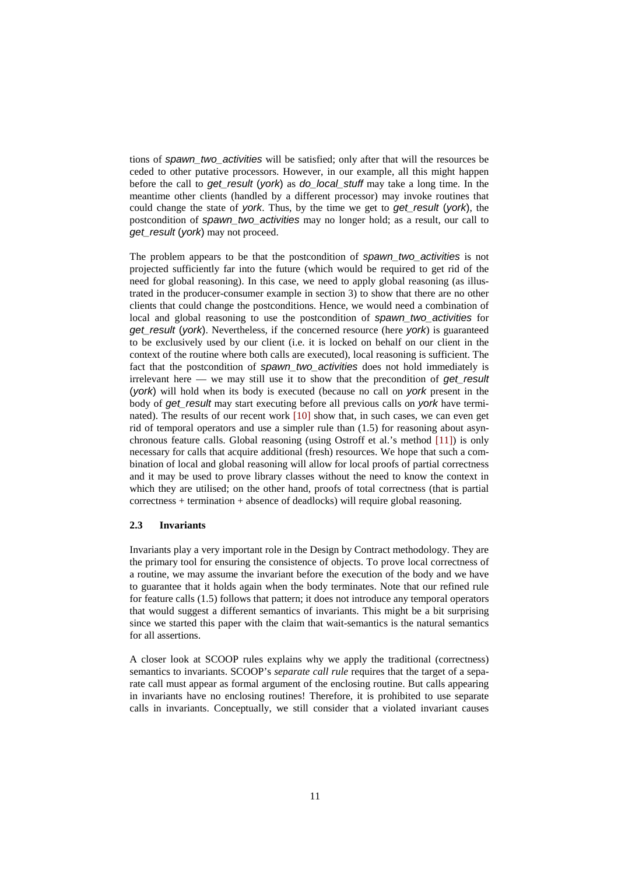tions of *spawn\_two\_activities* will be satisfied; only after that will the resources be ceded to other putative processors. However, in our example, all this might happen before the call to *get\_result* (*york*) as *do\_local\_stuff* may take a long time. In the meantime other clients (handled by a different processor) may invoke routines that could change the state of *york*. Thus, by the time we get to *get\_result* (*york*), the postcondition of *spawn\_two\_activities* may no longer hold; as a result, our call to *get\_result* (*york*) may not proceed.

The problem appears to be that the postcondition of *spawn\_two\_activities* is not projected sufficiently far into the future (which would be required to get rid of the need for global reasoning). In this case, we need to apply global reasoning (as illustrated in the producer-consumer example in section 3) to show that there are no other clients that could change the postconditions. Hence, we would need a combination of local and global reasoning to use the postcondition of *spawn\_two\_activities* for *get\_result* (*york*). Nevertheless, if the concerned resource (here *york*) is guaranteed to be exclusively used by our client (i.e. it is locked on behalf on our client in the context of the routine where both calls are executed), local reasoning is sufficient. The fact that the postcondition of *spawn\_two\_activities* does not hold immediately is irrelevant here — we may still use it to show that the precondition of *get\_result*  (*york*) will hold when its body is executed (because no call on *york* present in the body of *get\_result* may start executing before all previous calls on *york* have terminated). The results of our recent work [10] show that, in such cases, we can even get rid of temporal operators and use a simpler rule than (1.5) for reasoning about asynchronous feature calls. Global reasoning (using Ostroff et al.'s method [11]) is only necessary for calls that acquire additional (fresh) resources. We hope that such a combination of local and global reasoning will allow for local proofs of partial correctness and it may be used to prove library classes without the need to know the context in which they are utilised; on the other hand, proofs of total correctness (that is partial correctness + termination + absence of deadlocks) will require global reasoning.

#### **2.3 Invariants**

Invariants play a very important role in the Design by Contract methodology. They are the primary tool for ensuring the consistence of objects. To prove local correctness of a routine, we may assume the invariant before the execution of the body and we have to guarantee that it holds again when the body terminates. Note that our refined rule for feature calls (1.5) follows that pattern; it does not introduce any temporal operators that would suggest a different semantics of invariants. This might be a bit surprising since we started this paper with the claim that wait-semantics is the natural semantics for all assertions.

A closer look at SCOOP rules explains why we apply the traditional (correctness) semantics to invariants. SCOOP's *separate call rule* requires that the target of a separate call must appear as formal argument of the enclosing routine. But calls appearing in invariants have no enclosing routines! Therefore, it is prohibited to use separate calls in invariants. Conceptually, we still consider that a violated invariant causes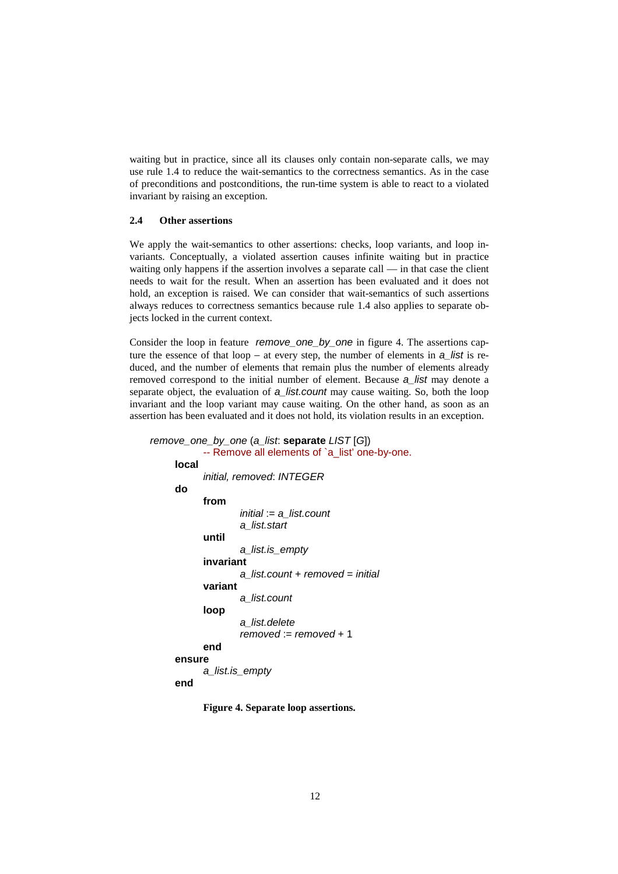waiting but in practice, since all its clauses only contain non-separate calls, we may use rule 1.4 to reduce the wait-semantics to the correctness semantics. As in the case of preconditions and postconditions, the run-time system is able to react to a violated invariant by raising an exception.

### **2.4 Other assertions**

We apply the wait-semantics to other assertions: checks, loop variants, and loop invariants. Conceptually, a violated assertion causes infinite waiting but in practice waiting only happens if the assertion involves a separate call — in that case the client needs to wait for the result. When an assertion has been evaluated and it does not hold, an exception is raised. We can consider that wait-semantics of such assertions always reduces to correctness semantics because rule 1.4 also applies to separate objects locked in the current context.

Consider the loop in feature *remove\_one\_by\_one* in figure 4. The assertions capture the essence of that loop − at every step, the number of elements in *a\_list* is reduced, and the number of elements that remain plus the number of elements already removed correspond to the initial number of element. Because *a\_list* may denote a separate object, the evaluation of *a\_list.count* may cause waiting. So, both the loop invariant and the loop variant may cause waiting. On the other hand, as soon as an assertion has been evaluated and it does not hold, its violation results in an exception.

```
 remove_one_by_one (a_list: separate LIST [G]) 
            -- Remove all elements of `a_list' one-by-one. 
     local 
           initial, removed: INTEGER
     do
            from 
                     initial := a_list.count
                     a_list.start 
           until 
                    a_list.is_empty 
           invariant 
                    a_list.count + removed = initial
           variant 
                    a_list.count 
           loop 
                    a_list.delete 
                    removed := removed + 1 
            end 
     ensure 
            a_list.is_empty 
     end
```
**Figure 4. Separate loop assertions.**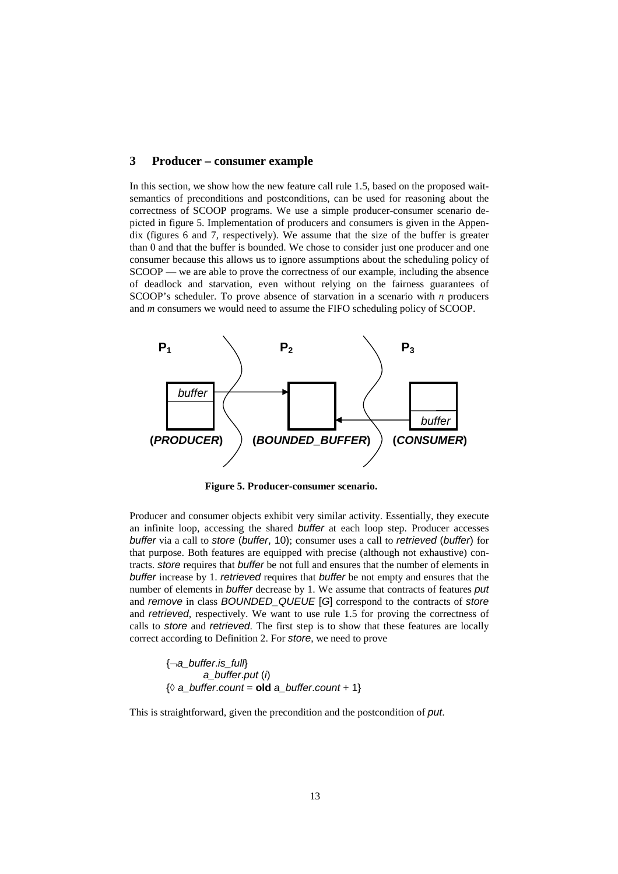### **3 Producer – consumer example**

In this section, we show how the new feature call rule 1.5, based on the proposed waitsemantics of preconditions and postconditions, can be used for reasoning about the correctness of SCOOP programs. We use a simple producer-consumer scenario depicted in figure 5. Implementation of producers and consumers is given in the Appendix (figures 6 and 7, respectively). We assume that the size of the buffer is greater than 0 and that the buffer is bounded. We chose to consider just one producer and one consumer because this allows us to ignore assumptions about the scheduling policy of SCOOP — we are able to prove the correctness of our example, including the absence of deadlock and starvation, even without relying on the fairness guarantees of SCOOP's scheduler. To prove absence of starvation in a scenario with *n* producers and *m* consumers we would need to assume the FIFO scheduling policy of SCOOP.



**Figure 5. Producer-consumer scenario.**

Producer and consumer objects exhibit very similar activity. Essentially, they execute an infinite loop, accessing the shared *buffer* at each loop step. Producer accesses *buffer* via a call to *store* (*buffer*, 10); consumer uses a call to *retrieved* (*buffer*) for that purpose. Both features are equipped with precise (although not exhaustive) contracts. *store* requires that *buffer* be not full and ensures that the number of elements in *buffer* increase by 1. *retrieved* requires that *buffer* be not empty and ensures that the number of elements in *buffer* decrease by 1. We assume that contracts of features *put* and *remove* in class *BOUNDED\_QUEUE* [*G*] correspond to the contracts of *store* and *retrieved*, respectively. We want to use rule 1.5 for proving the correctness of calls to *store* and *retrieved*. The first step is to show that these features are locally correct according to Definition 2. For *store*, we need to prove

{¬*a\_buffer*.*is\_full*} *a\_buffer*.*put* (*i*) {◊ *a\_buffer*.*count* = **old** *a\_buffer*.*count* + 1}

This is straightforward, given the precondition and the postcondition of *put*.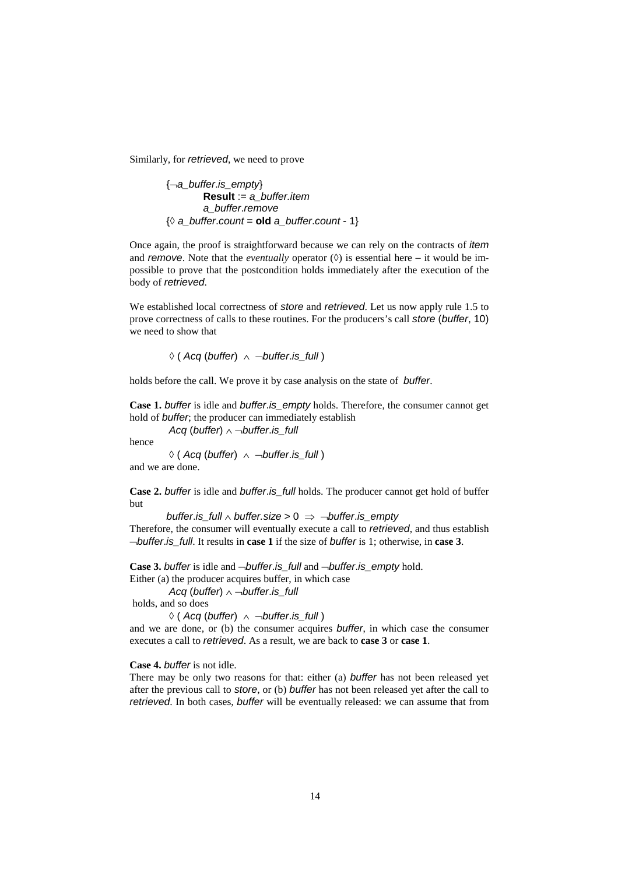Similarly, for *retrieved*, we need to prove

{¬*a\_buffer*.*is\_empty*} **Result** := *a\_buffer.item a\_buffer*.*remove* {◊ *a\_buffer*.*count* = **old** *a\_buffer*.*count* - 1}

Once again, the proof is straightforward because we can rely on the contracts of *item* and *remove*. Note that the *eventually* operator (◊) is essential here – it would be impossible to prove that the postcondition holds immediately after the execution of the body of *retrieved*.

We established local correctness of *store* and *retrieved*. Let us now apply rule 1.5 to prove correctness of calls to these routines. For the producers's call *store* (*buffer*, 10) we need to show that

◊ ( *Acq* (*buffer*) ∧ ¬*buffer*.*is\_full* )

holds before the call. We prove it by case analysis on the state of *buffer*.

**Case 1.** *buffer* is idle and *buffer*.*is\_empty* holds. Therefore, the consumer cannot get hold of *buffer*; the producer can immediately establish

*Acq* (*buffer*) ∧ ¬*buffer*.*is\_full* 

hence

◊ ( *Acq* (*buffer*) ∧ ¬*buffer*.*is\_full* ) and we are done.

**Case 2.** *buffer* is idle and *buffer*.*is\_full* holds. The producer cannot get hold of buffer but

*buffer*.*is\_full* ∧ *buffer.size* > 0 ⇒ ¬*buffer*.*is\_empty* Therefore, the consumer will eventually execute a call to *retrieved*, and thus establish ¬*buffer*.*is\_full*. It results in **case 1** if the size of *buffer* is 1; otherwise, in **case 3**.

**Case 3.** *buffer* is idle and ¬*buffer*.*is\_full* and ¬*buffer*.*is\_empty* hold.

Either (a) the producer acquires buffer, in which case

*Acq* (*buffer*) ∧ ¬*buffer*.*is\_full* 

holds, and so does

◊ ( *Acq* (*buffer*) ∧ ¬*buffer*.*is\_full* )

and we are done, or (b) the consumer acquires *buffer*, in which case the consumer executes a call to *retrieved*. As a result, we are back to **case 3** or **case 1**.

**Case 4.** *buffer* is not idle.

There may be only two reasons for that: either (a) *buffer* has not been released yet after the previous call to *store*, or (b) *buffer* has not been released yet after the call to *retrieved*. In both cases, *buffer* will be eventually released: we can assume that from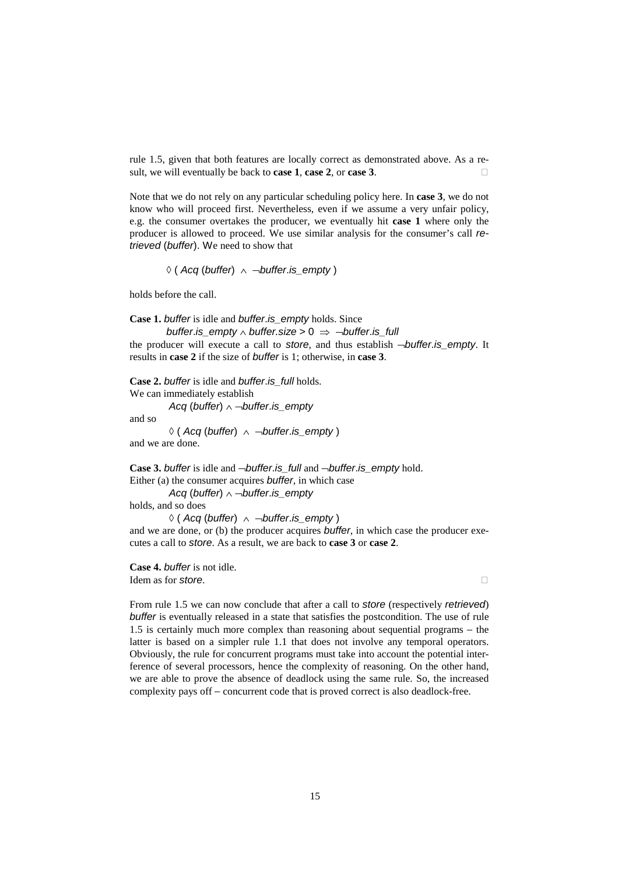rule 1.5, given that both features are locally correct as demonstrated above. As a result, we will eventually be back to **case 1**, **case 2**, or **case 3**.

Note that we do not rely on any particular scheduling policy here. In **case 3**, we do not know who will proceed first. Nevertheless, even if we assume a very unfair policy, e.g. the consumer overtakes the producer, we eventually hit **case 1** where only the producer is allowed to proceed. We use similar analysis for the consumer's call *retrieved* (*buffer*). We need to show that

◊ ( *Acq* (*buffer*) ∧ ¬*buffer*.*is\_empty* )

holds before the call.

**Case 1.** *buffer* is idle and *buffer*.*is\_empty* holds. Since

*buffer.is* empty  $\land$  *buffer.size* > 0  $\Rightarrow$   $\neg$ *buffer.is* full

the producer will execute a call to *store*, and thus establish ¬*buffer*.*is\_empty*. It results in **case 2** if the size of *buffer* is 1; otherwise, in **case 3**.

**Case 2.** *buffer* is idle and *buffer*.*is\_full* holds. We can immediately establish *Acq* (*buffer*) ∧ ¬*buffer*.*is\_empty* 

and so

◊ ( *Acq* (*buffer*) ∧ ¬*buffer*.*is\_empty* ) and we are done.

**Case 3.** *buffer* is idle and ¬*buffer*.*is\_full* and ¬*buffer*.*is\_empty* hold. Either (a) the consumer acquires *buffer*, in which case *Acq* (*buffer*) ∧ ¬*buffer*.*is\_empty*  holds, and so does ◊ ( *Acq* (*buffer*) ∧ ¬*buffer*.*is\_empty* ) and we are done, or (b) the producer acquires *buffer*, in which case the producer exe-

cutes a call to *store*. As a result, we are back to **case 3** or **case 2**.

**Case 4.** *buffer* is not idle. Idem as for *store*.

From rule 1.5 we can now conclude that after a call to *store* (respectively *retrieved*) *buffer* is eventually released in a state that satisfies the postcondition. The use of rule 1.5 is certainly much more complex than reasoning about sequential programs − the latter is based on a simpler rule 1.1 that does not involve any temporal operators. Obviously, the rule for concurrent programs must take into account the potential interference of several processors, hence the complexity of reasoning. On the other hand, we are able to prove the absence of deadlock using the same rule. So, the increased complexity pays off − concurrent code that is proved correct is also deadlock-free.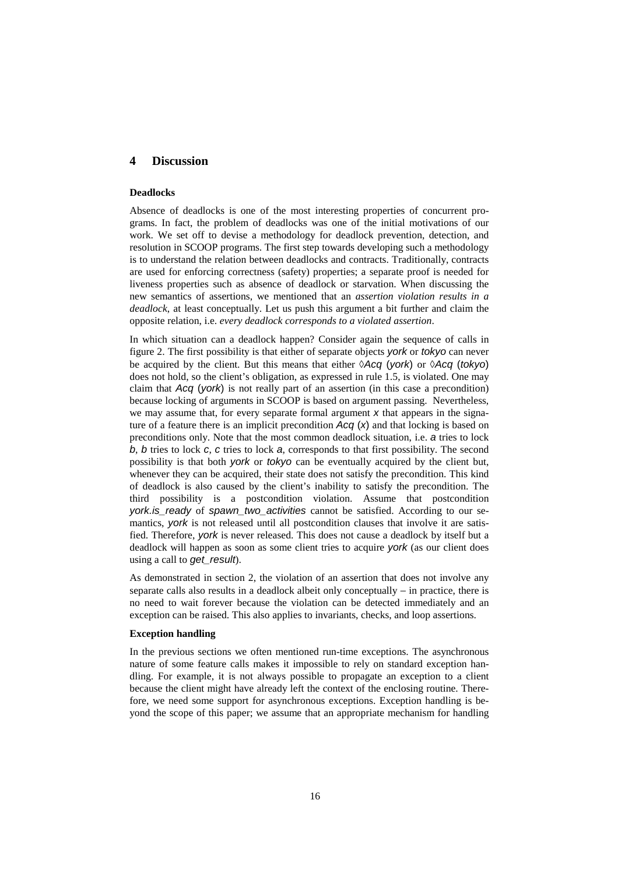### **4 Discussion**

#### **Deadlocks**

Absence of deadlocks is one of the most interesting properties of concurrent programs. In fact, the problem of deadlocks was one of the initial motivations of our work. We set off to devise a methodology for deadlock prevention, detection, and resolution in SCOOP programs. The first step towards developing such a methodology is to understand the relation between deadlocks and contracts. Traditionally, contracts are used for enforcing correctness (safety) properties; a separate proof is needed for liveness properties such as absence of deadlock or starvation. When discussing the new semantics of assertions, we mentioned that an *assertion violation results in a deadlock*, at least conceptually. Let us push this argument a bit further and claim the opposite relation, i.e. *every deadlock corresponds to a violated assertion*.

In which situation can a deadlock happen? Consider again the sequence of calls in figure 2. The first possibility is that either of separate objects *york* or *tokyo* can never be acquired by the client. But this means that either ◊*Acq* (*york*) or ◊*Acq* (*tokyo*) does not hold, so the client's obligation, as expressed in rule 1.5, is violated. One may claim that *Acq* (*york*) is not really part of an assertion (in this case a precondition) because locking of arguments in SCOOP is based on argument passing. Nevertheless, we may assume that, for every separate formal argument *x* that appears in the signature of a feature there is an implicit precondition *Acq* (*x*) and that locking is based on preconditions only. Note that the most common deadlock situation, i.e. *a* tries to lock *b*, *b* tries to lock *c*, *c* tries to lock *a*, corresponds to that first possibility. The second possibility is that both *york* or *tokyo* can be eventually acquired by the client but, whenever they can be acquired, their state does not satisfy the precondition. This kind of deadlock is also caused by the client's inability to satisfy the precondition. The third possibility is a postcondition violation. Assume that postcondition *york.is\_ready* of *spawn\_two\_activities* cannot be satisfied. According to our semantics, *york* is not released until all postcondition clauses that involve it are satisfied. Therefore, *york* is never released. This does not cause a deadlock by itself but a deadlock will happen as soon as some client tries to acquire *york* (as our client does using a call to *get\_result*).

As demonstrated in section 2, the violation of an assertion that does not involve any separate calls also results in a deadlock albeit only conceptually – in practice, there is no need to wait forever because the violation can be detected immediately and an exception can be raised. This also applies to invariants, checks, and loop assertions.

#### **Exception handling**

In the previous sections we often mentioned run-time exceptions. The asynchronous nature of some feature calls makes it impossible to rely on standard exception handling. For example, it is not always possible to propagate an exception to a client because the client might have already left the context of the enclosing routine. Therefore, we need some support for asynchronous exceptions. Exception handling is beyond the scope of this paper; we assume that an appropriate mechanism for handling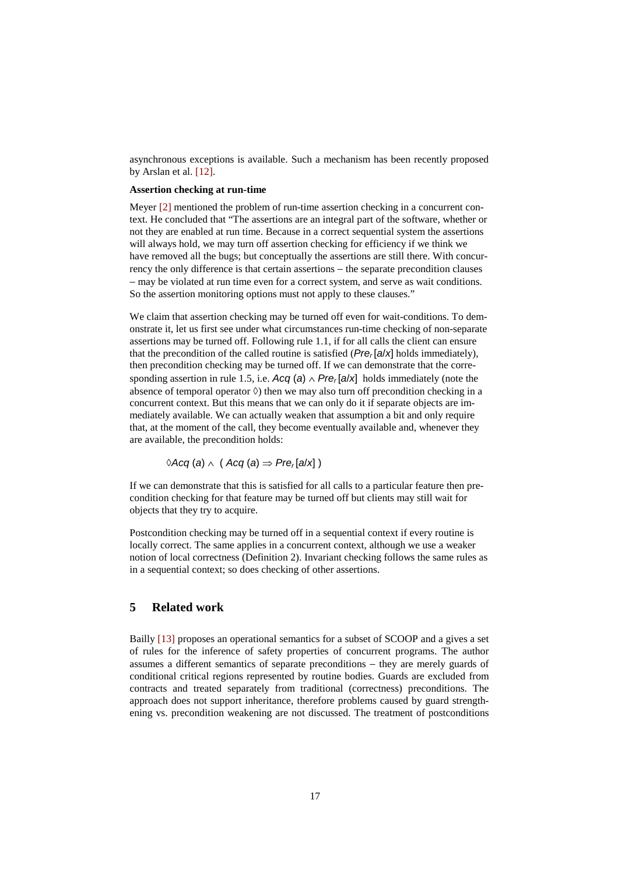asynchronous exceptions is available. Such a mechanism has been recently proposed by Arslan et al. [12].

### **Assertion checking at run-time**

Meyer [2] mentioned the problem of run-time assertion checking in a concurrent context. He concluded that "The assertions are an integral part of the software, whether or not they are enabled at run time. Because in a correct sequential system the assertions will always hold, we may turn off assertion checking for efficiency if we think we have removed all the bugs; but conceptually the assertions are still there. With concurrency the only difference is that certain assertions − the separate precondition clauses − may be violated at run time even for a correct system, and serve as wait conditions. So the assertion monitoring options must not apply to these clauses."

We claim that assertion checking may be turned off even for wait-conditions. To demonstrate it, let us first see under what circumstances run-time checking of non-separate assertions may be turned off. Following rule 1.1, if for all calls the client can ensure that the precondition of the called routine is satisfied  $(Pre_r[a/x]$  holds immediately), then precondition checking may be turned off. If we can demonstrate that the corresponding assertion in rule 1.5, i.e.  $Acq(a) \wedge Pre_r[a/x]$  holds immediately (note the absence of temporal operator  $\Diamond$ ) then we may also turn off precondition checking in a concurrent context. But this means that we can only do it if separate objects are immediately available. We can actually weaken that assumption a bit and only require that, at the moment of the call, they become eventually available and, whenever they are available, the precondition holds:

◊*Acq* (*a*) ∧( *Acq* (*a*) ⇒ *Prer* [*a*/*x*] )

If we can demonstrate that this is satisfied for all calls to a particular feature then precondition checking for that feature may be turned off but clients may still wait for objects that they try to acquire.

Postcondition checking may be turned off in a sequential context if every routine is locally correct. The same applies in a concurrent context, although we use a weaker notion of local correctness (Definition 2). Invariant checking follows the same rules as in a sequential context; so does checking of other assertions.

# **5 Related work**

Bailly [13] proposes an operational semantics for a subset of SCOOP and a gives a set of rules for the inference of safety properties of concurrent programs. The author assumes a different semantics of separate preconditions − they are merely guards of conditional critical regions represented by routine bodies. Guards are excluded from contracts and treated separately from traditional (correctness) preconditions. The approach does not support inheritance, therefore problems caused by guard strengthening vs. precondition weakening are not discussed. The treatment of postconditions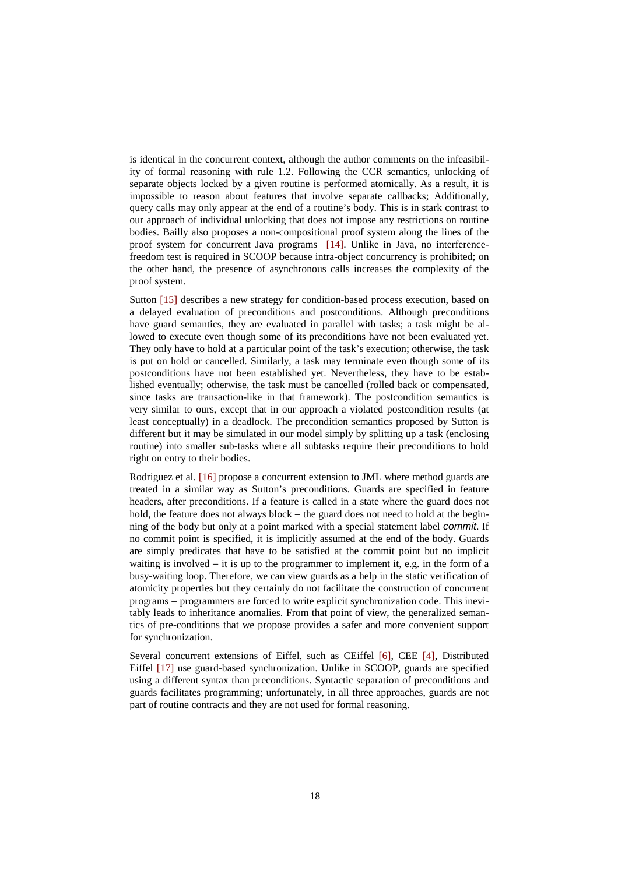is identical in the concurrent context, although the author comments on the infeasibility of formal reasoning with rule 1.2. Following the CCR semantics, unlocking of separate objects locked by a given routine is performed atomically. As a result, it is impossible to reason about features that involve separate callbacks; Additionally, query calls may only appear at the end of a routine's body. This is in stark contrast to our approach of individual unlocking that does not impose any restrictions on routine bodies. Bailly also proposes a non-compositional proof system along the lines of the proof system for concurrent Java programs [14]. Unlike in Java, no interferencefreedom test is required in SCOOP because intra-object concurrency is prohibited; on the other hand, the presence of asynchronous calls increases the complexity of the proof system.

Sutton [15] describes a new strategy for condition-based process execution, based on a delayed evaluation of preconditions and postconditions. Although preconditions have guard semantics, they are evaluated in parallel with tasks; a task might be allowed to execute even though some of its preconditions have not been evaluated yet. They only have to hold at a particular point of the task's execution; otherwise, the task is put on hold or cancelled. Similarly, a task may terminate even though some of its postconditions have not been established yet. Nevertheless, they have to be established eventually; otherwise, the task must be cancelled (rolled back or compensated, since tasks are transaction-like in that framework). The postcondition semantics is very similar to ours, except that in our approach a violated postcondition results (at least conceptually) in a deadlock. The precondition semantics proposed by Sutton is different but it may be simulated in our model simply by splitting up a task (enclosing routine) into smaller sub-tasks where all subtasks require their preconditions to hold right on entry to their bodies.

Rodriguez et al. [16] propose a concurrent extension to JML where method guards are treated in a similar way as Sutton's preconditions. Guards are specified in feature headers, after preconditions. If a feature is called in a state where the guard does not hold, the feature does not always block – the guard does not need to hold at the beginning of the body but only at a point marked with a special statement label *commit*. If no commit point is specified, it is implicitly assumed at the end of the body. Guards are simply predicates that have to be satisfied at the commit point but no implicit waiting is involved − it is up to the programmer to implement it, e.g. in the form of a busy-waiting loop. Therefore, we can view guards as a help in the static verification of atomicity properties but they certainly do not facilitate the construction of concurrent programs − programmers are forced to write explicit synchronization code. This inevitably leads to inheritance anomalies. From that point of view, the generalized semantics of pre-conditions that we propose provides a safer and more convenient support for synchronization.

Several concurrent extensions of Eiffel, such as CEiffel [6], CEE [4], Distributed Eiffel [17] use guard-based synchronization. Unlike in SCOOP, guards are specified using a different syntax than preconditions. Syntactic separation of preconditions and guards facilitates programming; unfortunately, in all three approaches, guards are not part of routine contracts and they are not used for formal reasoning.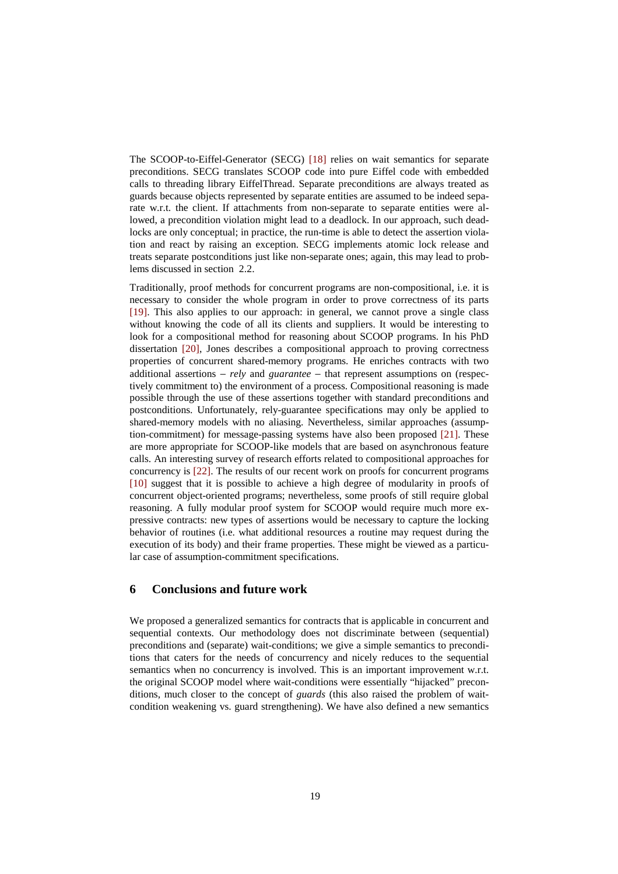The SCOOP-to-Eiffel-Generator (SECG) [18] relies on wait semantics for separate preconditions. SECG translates SCOOP code into pure Eiffel code with embedded calls to threading library EiffelThread. Separate preconditions are always treated as guards because objects represented by separate entities are assumed to be indeed separate w.r.t. the client. If attachments from non-separate to separate entities were allowed, a precondition violation might lead to a deadlock. In our approach, such deadlocks are only conceptual; in practice, the run-time is able to detect the assertion violation and react by raising an exception. SECG implements atomic lock release and treats separate postconditions just like non-separate ones; again, this may lead to problems discussed in section 2.2.

Traditionally, proof methods for concurrent programs are non-compositional, i.e. it is necessary to consider the whole program in order to prove correctness of its parts [19]. This also applies to our approach: in general, we cannot prove a single class without knowing the code of all its clients and suppliers. It would be interesting to look for a compositional method for reasoning about SCOOP programs. In his PhD dissertation [20], Jones describes a compositional approach to proving correctness properties of concurrent shared-memory programs. He enriches contracts with two additional assertions − *rely* and *guarantee* − that represent assumptions on (respectively commitment to) the environment of a process. Compositional reasoning is made possible through the use of these assertions together with standard preconditions and postconditions. Unfortunately, rely-guarantee specifications may only be applied to shared-memory models with no aliasing. Nevertheless, similar approaches (assumption-commitment) for message-passing systems have also been proposed [21]. These are more appropriate for SCOOP-like models that are based on asynchronous feature calls. An interesting survey of research efforts related to compositional approaches for concurrency is [22]. The results of our recent work on proofs for concurrent programs [10] suggest that it is possible to achieve a high degree of modularity in proofs of concurrent object-oriented programs; nevertheless, some proofs of still require global reasoning. A fully modular proof system for SCOOP would require much more expressive contracts: new types of assertions would be necessary to capture the locking behavior of routines (i.e. what additional resources a routine may request during the execution of its body) and their frame properties. These might be viewed as a particular case of assumption-commitment specifications.

### **6 Conclusions and future work**

We proposed a generalized semantics for contracts that is applicable in concurrent and sequential contexts. Our methodology does not discriminate between (sequential) preconditions and (separate) wait-conditions; we give a simple semantics to preconditions that caters for the needs of concurrency and nicely reduces to the sequential semantics when no concurrency is involved. This is an important improvement w.r.t. the original SCOOP model where wait-conditions were essentially "hijacked" preconditions, much closer to the concept of *guards* (this also raised the problem of waitcondition weakening vs. guard strengthening). We have also defined a new semantics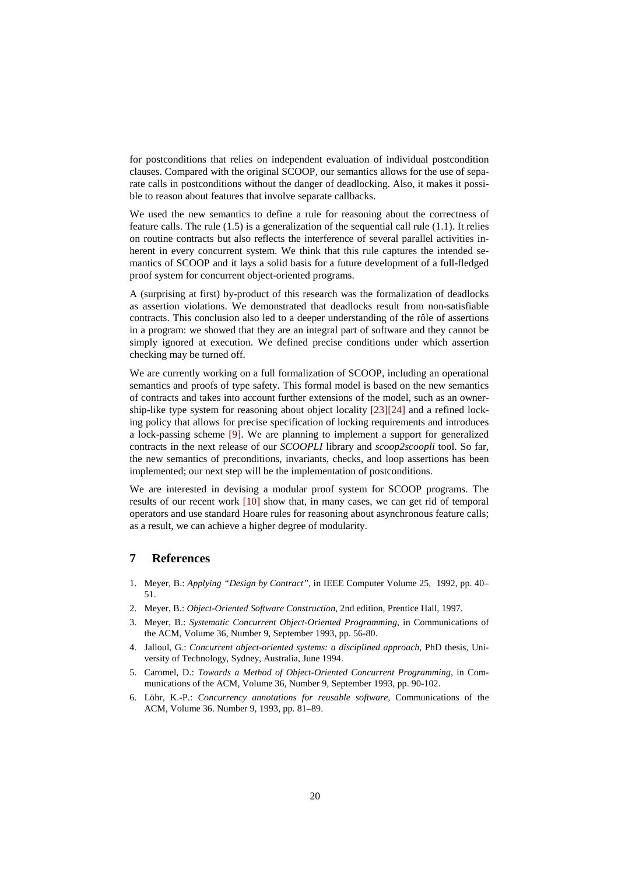for postconditions that relies on independent evaluation of individual postcondition clauses. Compared with the original SCOOP, our semantics allows for the use of separate calls in postconditions without the danger of deadlocking. Also, it makes it possible to reason about features that involve separate callbacks.

We used the new semantics to define a rule for reasoning about the correctness of feature calls. The rule (1.5) is a generalization of the sequential call rule (1.1). It relies on routine contracts but also reflects the interference of several parallel activities inherent in every concurrent system. We think that this rule captures the intended semantics of SCOOP and it lays a solid basis for a future development of a full-fledged proof system for concurrent object-oriented programs.

A (surprising at first) by-product of this research was the formalization of deadlocks as assertion violations. We demonstrated that deadlocks result from non-satisfiable contracts. This conclusion also led to a deeper understanding of the rôle of assertions in a program: we showed that they are an integral part of software and they cannot be simply ignored at execution. We defined precise conditions under which assertion checking may be turned off.

We are currently working on a full formalization of SCOOP, including an operational semantics and proofs of type safety. This formal model is based on the new semantics of contracts and takes into account further extensions of the model, such as an ownership-like type system for reasoning about object locality [23][24] and a refined locking policy that allows for precise specification of locking requirements and introduces a lock-passing scheme [9]. We are planning to implement a support for generalized contracts in the next release of our *SCOOPLI* library and *scoop2scoopli* tool. So far, the new semantics of preconditions, invariants, checks, and loop assertions has been implemented; our next step will be the implementation of postconditions.

We are interested in devising a modular proof system for SCOOP programs. The results of our recent work [10] show that, in many cases, we can get rid of temporal operators and use standard Hoare rules for reasoning about asynchronous feature calls; as a result, we can achieve a higher degree of modularity.

## **7 References**

- 1. Meyer, B.: *Applying "Design by Contract"*, in IEEE Computer Volume 25, 1992, pp. 40– 51.
- 2. Meyer, B.: *Object-Oriented Software Construction*, 2nd edition, Prentice Hall, 1997.
- 3. Meyer, B.: *Systematic Concurrent Object-Oriented Programming*, in Communications of the ACM, Volume 36, Number 9, September 1993, pp. 56-80.
- 4. Jalloul, G.: *Concurrent object-oriented systems: a disciplined approach*, PhD thesis, University of Technology, Sydney, Australia, June 1994.
- 5. Caromel, D.: *Towards a Method of Object-Oriented Concurrent Programming*, in Communications of the ACM, Volume 36, Number 9, September 1993, pp. 90-102.
- 6. Löhr, K.-P.: *Concurrency annotations for reusable software*, Communications of the ACM, Volume 36. Number 9, 1993, pp. 81–89.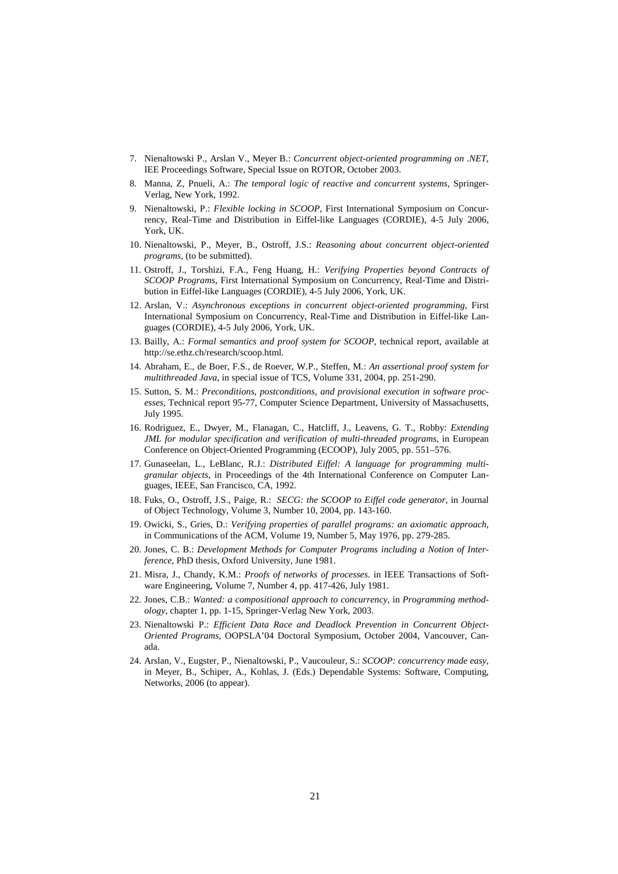- 7. Nienaltowski P., Arslan V., Meyer B.: *Concurrent object-oriented programming on .NET*, IEE Proceedings Software, Special Issue on ROTOR, October 2003.
- 8. Manna, Z, Pnueli, A.: *The temporal logic of reactive and concurrent systems*, Springer-Verlag, New York, 1992.
- 9. Nienaltowski, P.: *Flexible locking in SCOOP*, First International Symposium on Concurrency, Real-Time and Distribution in Eiffel-like Languages (CORDIE), 4-5 July 2006, York, UK.
- 10. Nienaltowski, P., Meyer, B., Ostroff, J.S.: *Reasoning about concurrent object-oriented programs*, (to be submitted).
- 11. Ostroff, J., Torshizi, F.A., Feng Huang, H.: *Verifying Properties beyond Contracts of SCOOP Programs*, First International Symposium on Concurrency, Real-Time and Distribution in Eiffel-like Languages (CORDIE), 4-5 July 2006, York, UK.
- 12. Arslan, V.: *Asynchronous exceptions in concurrent object-oriented programming*, First International Symposium on Concurrency, Real-Time and Distribution in Eiffel-like Languages (CORDIE), 4-5 July 2006, York, UK.
- 13. Bailly, A.: *Formal semantics and proof system for SCOOP*, technical report, available at http://se.ethz.ch/research/scoop.html.
- 14. Abraham, E., de Boer, F.S., de Roever, W.P., Steffen, M.: *An assertional proof system for multithreaded Java*, in special issue of TCS, Volume 331, 2004, pp. 251-290.
- 15. Sutton, S. M.: *Preconditions, postconditions, and provisional execution in software processes*, Technical report 95-77, Computer Science Department, University of Massachusetts, July 1995.
- 16. Rodriguez, E., Dwyer, M., Flanagan, C., Hatcliff, J., Leavens, G. T., Robby: *Extending JML for modular specification and verification of multi-threaded programs*, in European Conference on Object-Oriented Programming (ECOOP), July 2005, pp. 551–576.
- 17. Gunaseelan, L., LeBlanc, R.J.: *Distributed Eiffel: A language for programming multigranular objects*, in Proceedings of the 4th International Conference on Computer Languages, IEEE, San Francisco, CA, 1992.
- 18. Fuks, O., Ostroff, J.S., Paige, R.: *SECG: the SCOOP to Eiffel code generator*, in Journal of Object Technology, Volume 3, Number 10, 2004, pp. 143-160.
- 19. Owicki, S., Gries, D.: *Verifying properties of parallel programs: an axiomatic approach*, in Communications of the ACM, Volume 19, Number 5, May 1976, pp. 279-285.
- 20. Jones, C. B.: *Development Methods for Computer Programs including a Notion of Interference*, PhD thesis, Oxford University, June 1981.
- 21. Misra, J., Chandy, K.M.: *Proofs of networks of processes*. in IEEE Transactions of Software Engineering, Volume 7, Number 4, pp. 417-426, July 1981.
- 22. Jones, C.B.: *Wanted: a compositional approach to concurrency*, in *Programming methodology*, chapter 1, pp. 1-15, Springer-Verlag New York, 2003.
- 23. Nienaltowski P.: *Efficient Data Race and Deadlock Prevention in Concurrent Object-Oriented Programs*, OOPSLA'04 Doctoral Symposium, October 2004, Vancouver, Canada.
- 24. Arslan, V., Eugster, P., Nienaltowski, P., Vaucouleur, S.: *SCOOP: concurrency made easy*, in Meyer, B., Schiper, A., Kohlas, J. (Eds.) Dependable Systems: Software, Computing, Networks, 2006 (to appear).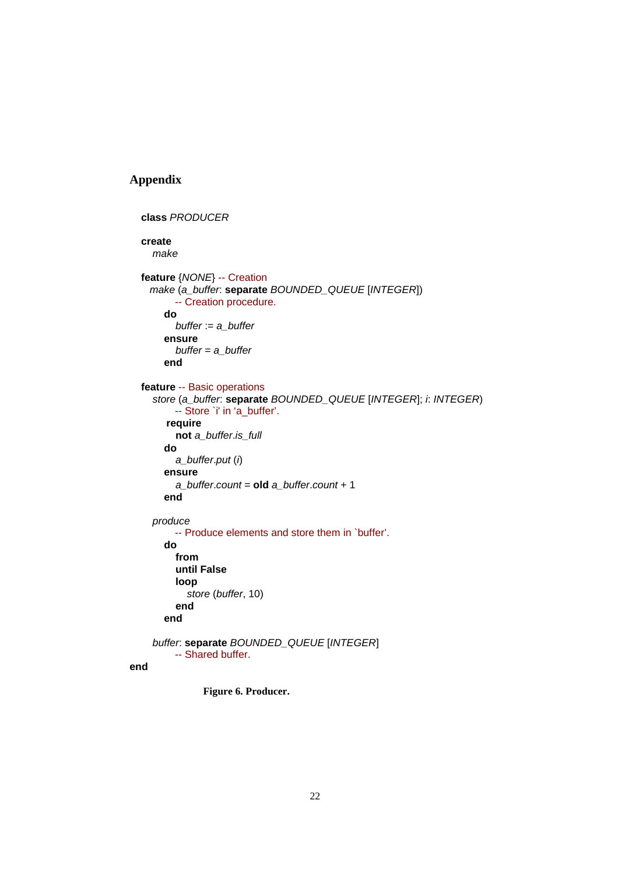# **Appendix**

```
 class PRODUCER
create 
  make 
feature {NONE} -- Creation
  make (a_buffer: separate BOUNDED_QUEUE [INTEGER]) 
       -- Creation procedure. 
     do 
       buffer := a_buffer
     ensure 
       buffer = a_buffer
     end 
feature -- Basic operations
  store (a_buffer: separate BOUNDED_QUEUE [INTEGER]; i: INTEGER) 
       -- Store `i' in 'a_buffer'. 
     require 
       not a_buffer.is_full
     do 
       a_buffer.put (i) 
     ensure 
       a_buffer.count = old a_buffer.count + 1 
     end 
  produce
       -- Produce elements and store them in `buffer'. 
     do 
       from 
       until False
       loop 
          store (buffer, 10) 
       end 
     end
```

```
 buffer: separate BOUNDED_QUEUE [INTEGER] 
    -- Shared buffer.
```
### **end**

**Figure 6. Producer.**